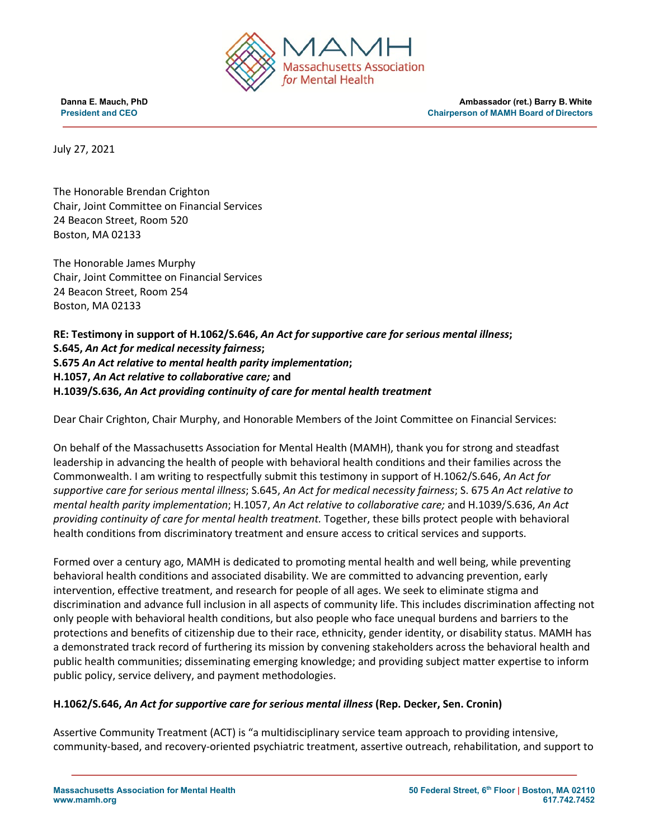

**Danna E. Mauch, PhD Ambassador (ret.) Barry B. White President and CEO Chairperson of MAMH Board of Directors**

July 27, 2021

The Honorable Brendan Crighton Chair, Joint Committee on Financial Services 24 Beacon Street, Room 520 Boston, MA 02133

The Honorable James Murphy Chair, Joint Committee on Financial Services 24 Beacon Street, Room 254 Boston, MA 02133

**RE: Testimony in support of H.1062/S.646,** *An Act for supportive care for serious mental illness***; S.645,** *An Act for medical necessity fairness***; S.675** *An Act relative to mental health parity implementation***; H.1057,** *An Act relative to collaborative care;* **and H.1039/S.636,** *An Act providing continuity of care for mental health treatment*

Dear Chair Crighton, Chair Murphy, and Honorable Members of the Joint Committee on Financial Services:

On behalf of the Massachusetts Association for Mental Health (MAMH), thank you for strong and steadfast leadership in advancing the health of people with behavioral health conditions and their families across the Commonwealth. I am writing to respectfully submit this testimony in support of H.1062/S.646, *An Act for supportive care for serious mental illness*; S.645, *An Act for medical necessity fairness*; S. 675 *An Act relative to mental health parity implementation*; H.1057, *An Act relative to collaborative care;* and H.1039/S.636, *An Act providing continuity of care for mental health treatment.* Together, these bills protect people with behavioral health conditions from discriminatory treatment and ensure access to critical services and supports.

Formed over a century ago, MAMH is dedicated to promoting mental health and well being, while preventing behavioral health conditions and associated disability. We are committed to advancing prevention, early intervention, effective treatment, and research for people of all ages. We seek to eliminate stigma and discrimination and advance full inclusion in all aspects of community life. This includes discrimination affecting not only people with behavioral health conditions, but also people who face unequal burdens and barriers to the protections and benefits of citizenship due to their race, ethnicity, gender identity, or disability status. MAMH has a demonstrated track record of furthering its mission by convening stakeholders across the behavioral health and public health communities; disseminating emerging knowledge; and providing subject matter expertise to inform public policy, service delivery, and payment methodologies.

## **H.1062/S.646,** *An Act for supportive care for serious mental illness* **(Rep. Decker, Sen. Cronin)**

Assertive Community Treatment (ACT) is "a multidisciplinary service team approach to providing intensive, community-based, and recovery-oriented psychiatric treatment, assertive outreach, rehabilitation, and support to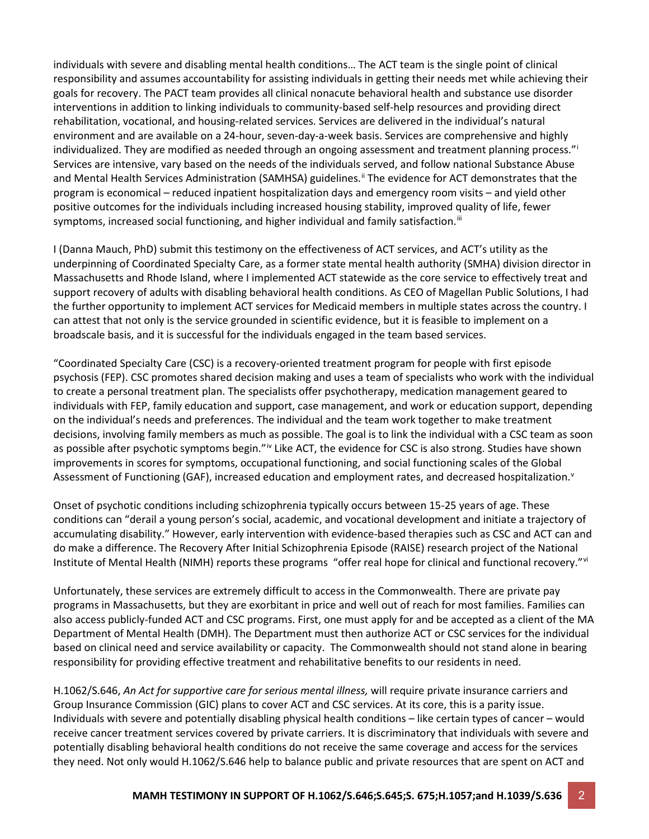individuals with severe and disabling mental health conditions… The ACT team is the single point of clinical responsibility and assumes accountability for assisting individuals in getting their needs met while achieving their goals for recovery. The PACT team provides all clinical nonacute behavioral health and substance use disorder interventions in addition to linking individuals to community-based self-help resources and providing direct rehabilitation, vocational, and housing-related services. Services are delivered in the individual's natural environment and are available on a 24-hour, seven-day-a-week basis. Services are comprehensive and highly [i](#page-6-0)ndividualized. They are modified as needed through an ongoing assessment and treatment planning process." Services are intensive, vary based on the needs of the individuals served, and follow national Substance Abuse and Mental Health Services Administration (SAMHSA) guidelines.<sup>[ii](#page-6-1)</sup> The evidence for ACT demonstrates that the program is economical – reduced inpatient hospitalization days and emergency room visits – and yield other positive outcomes for the individuals including increased housing stability, improved quality of life, fewer symptoms, increased social functioning, and higher individual and family satisfaction.<sup>[iii](#page-6-2)</sup>

I (Danna Mauch, PhD) submit this testimony on the effectiveness of ACT services, and ACT's utility as the underpinning of Coordinated Specialty Care, as a former state mental health authority (SMHA) division director in Massachusetts and Rhode Island, where I implemented ACT statewide as the core service to effectively treat and support recovery of adults with disabling behavioral health conditions. As CEO of Magellan Public Solutions, I had the further opportunity to implement ACT services for Medicaid members in multiple states across the country. I can attest that not only is the service grounded in scientific evidence, but it is feasible to implement on a broadscale basis, and it is successful for the individuals engaged in the team based services.

"Coordinated Specialty Care (CSC) is a recovery-oriented treatment program for people with first episode psychosis (FEP). CSC promotes shared decision making and uses a team of specialists who work with the individual to create a personal treatment plan. The specialists offer psychotherapy, medication management geared to individuals with FEP, family education and support, case management, and work or education support, depending on the individual's needs and preferences. The individual and the team work together to make treatment decisions, involving family members as much as possible. The goal is to link the individual with a CSC team as soon as possible after psychotic symptoms begin."<sup>[iv](#page-6-3)</sup> Like ACT, the evidence for CSC is also strong. Studies have shown improvements in scores for symptoms, occupational functioning, and social functioning scales of the Global Assessment of Functioning (GAF), increased education and employment rates, and decreased hospitalization.<sup>[v](#page-6-4)</sup>

Onset of psychotic conditions including schizophrenia typically occurs between 15-25 years of age. These conditions can "derail a young person's social, academic, and vocational development and initiate a trajectory of accumulating disability." However, early intervention with evidence-based therapies such as CSC and ACT can and do make a difference. The Recovery After Initial Schizophrenia Episode (RAISE) research project of the National Institute of Mental Health (NIMH) reports these programs "offer real hope for clinical and functional recovery."[vi](#page-6-5)

Unfortunately, these services are extremely difficult to access in the Commonwealth. There are private pay programs in Massachusetts, but they are exorbitant in price and well out of reach for most families. Families can also access publicly-funded ACT and CSC programs. First, one must apply for and be accepted as a client of the MA Department of Mental Health (DMH). The Department must then authorize ACT or CSC services for the individual based on clinical need and service availability or capacity. The Commonwealth should not stand alone in bearing responsibility for providing effective treatment and rehabilitative benefits to our residents in need.

H.1062/S.646, *An Act for supportive care for serious mental illness,* will require private insurance carriers and Group Insurance Commission (GIC) plans to cover ACT and CSC services. At its core, this is a parity issue. Individuals with severe and potentially disabling physical health conditions – like certain types of cancer – would receive cancer treatment services covered by private carriers. It is discriminatory that individuals with severe and potentially disabling behavioral health conditions do not receive the same coverage and access for the services they need. Not only would H.1062/S.646 help to balance public and private resources that are spent on ACT and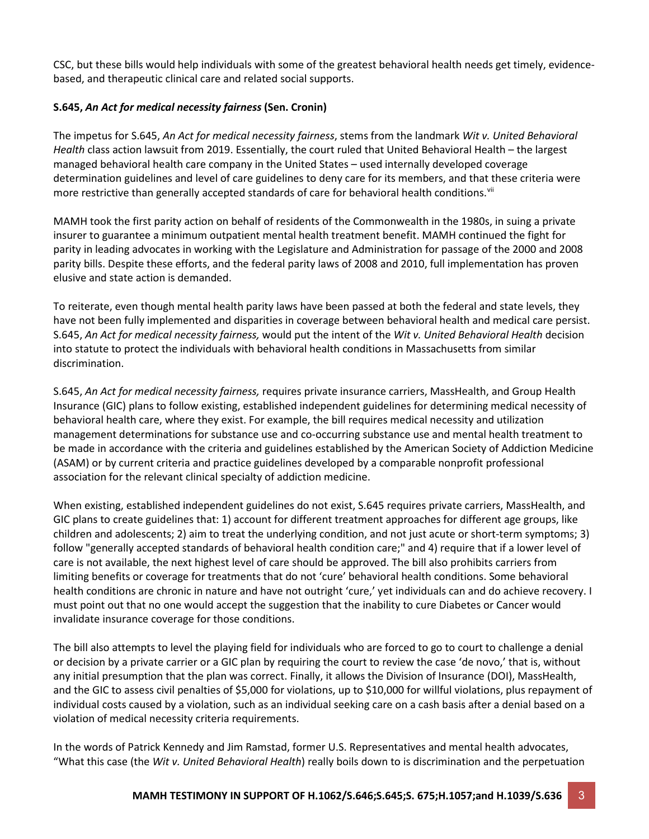CSC, but these bills would help individuals with some of the greatest behavioral health needs get timely, evidencebased, and therapeutic clinical care and related social supports.

# **S.645,** *An Act for medical necessity fairness* **(Sen. Cronin)**

The impetus for S.645, *An Act for medical necessity fairness*, stems from the landmark *Wit v. United Behavioral Health* class action lawsuit from 2019. Essentially, the court ruled that United Behavioral Health – the largest managed behavioral health care company in the United States – used internally developed coverage determination guidelines and level of care guidelines to deny care for its members, and that these criteria were more restrictive than generally accepted standards of care for behavioral health conditions.<sup>[vii](#page-6-6)</sup>

MAMH took the first parity action on behalf of residents of the Commonwealth in the 1980s, in suing a private insurer to guarantee a minimum outpatient mental health treatment benefit. MAMH continued the fight for parity in leading advocates in working with the Legislature and Administration for passage of the 2000 and 2008 parity bills. Despite these efforts, and the federal parity laws of 2008 and 2010, full implementation has proven elusive and state action is demanded.

To reiterate, even though mental health parity laws have been passed at both the federal and state levels, they have not been fully implemented and disparities in coverage between behavioral health and medical care persist. S.645, *An Act for medical necessity fairness,* would put the intent of the *Wit v. United Behavioral Health* decision into statute to protect the individuals with behavioral health conditions in Massachusetts from similar discrimination.

S.645, *An Act for medical necessity fairness,* requires private insurance carriers, MassHealth, and Group Health Insurance (GIC) plans to follow existing, established independent guidelines for determining medical necessity of behavioral health care, where they exist. For example, the bill requires medical necessity and utilization management determinations for substance use and co-occurring substance use and mental health treatment to be made in accordance with the criteria and guidelines established by the American Society of Addiction Medicine (ASAM) or by current criteria and practice guidelines developed by a comparable nonprofit professional association for the relevant clinical specialty of addiction medicine.

When existing, established independent guidelines do not exist, S.645 requires private carriers, MassHealth, and GIC plans to create guidelines that: 1) account for different treatment approaches for different age groups, like children and adolescents; 2) aim to treat the underlying condition, and not just acute or short-term symptoms; 3) follow "generally accepted standards of behavioral health condition care;" and 4) require that if a lower level of care is not available, the next highest level of care should be approved. The bill also prohibits carriers from limiting benefits or coverage for treatments that do not 'cure' behavioral health conditions. Some behavioral health conditions are chronic in nature and have not outright 'cure,' yet individuals can and do achieve recovery. I must point out that no one would accept the suggestion that the inability to cure Diabetes or Cancer would invalidate insurance coverage for those conditions.

The bill also attempts to level the playing field for individuals who are forced to go to court to challenge a denial or decision by a private carrier or a GIC plan by requiring the court to review the case 'de novo,' that is, without any initial presumption that the plan was correct. Finally, it allows the Division of Insurance (DOI), MassHealth, and the GIC to assess civil penalties of \$5,000 for violations, up to \$10,000 for willful violations, plus repayment of individual costs caused by a violation, such as an individual seeking care on a cash basis after a denial based on a violation of medical necessity criteria requirements.

In the words of Patrick Kennedy and Jim Ramstad, former U.S. Representatives and mental health advocates, "What this case (the *Wit v. United Behavioral Health*) really boils down to is discrimination and the perpetuation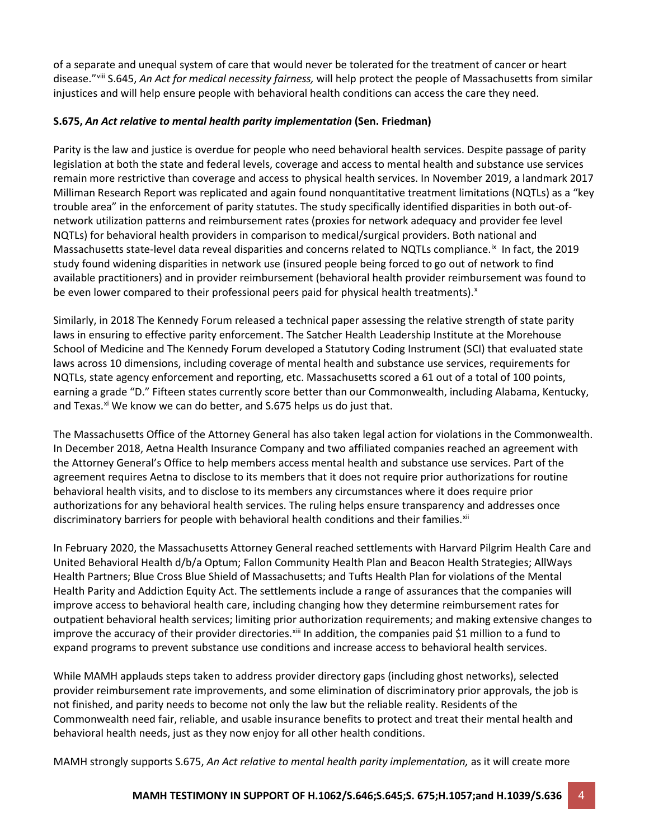of a separate and unequal system of care that would never be tolerated for the treatment of cancer or heart disease.["viii](#page-6-7) S.645, *An Act for medical necessity fairness,* will help protect the people of Massachusetts from similar injustices and will help ensure people with behavioral health conditions can access the care they need.

## **S.675,** *An Act relative to mental health parity implementation* **(Sen. Friedman)**

Parity is the law and justice is overdue for people who need behavioral health services. Despite passage of parity legislation at both the state and federal levels, coverage and access to mental health and substance use services remain more restrictive than coverage and access to physical health services. In November 2019, a landmark 2017 Milliman Research Report was replicated and again found nonquantitative treatment limitations (NQTLs) as a "key trouble area" in the enforcement of parity statutes. The study specifically identified disparities in both out-ofnetwork utilization patterns and reimbursement rates (proxies for network adequacy and provider fee level NQTLs) for behavioral health providers in comparison to medical/surgical providers. Both national and Massachusetts state-level data reveal disparities and concerns related to NQTLs compliance.<sup>[ix](#page-6-8)</sup> In fact, the 2019 study found widening disparities in network use (insured people being forced to go out of network to find available practitioners) and in provider reimbursement (behavioral health provider reimbursement was found to be even lower compared to their professional peers paid for physical health treatments). $^{x}$  $^{x}$  $^{x}$ 

Similarly, in 2018 The Kennedy Forum released a technical paper assessing the relative strength of state parity laws in ensuring to effective parity enforcement. The Satcher Health Leadership Institute at the Morehouse School of Medicine and The Kennedy Forum developed a Statutory Coding Instrument (SCI) that evaluated state laws across 10 dimensions, including coverage of mental health and substance use services, requirements for NQTLs, state agency enforcement and reporting, etc. Massachusetts scored a 61 out of a total of 100 points, earning a grade "D." Fifteen states currently score better than our Commonwealth, including Alabama, Kentucky, and Texas.<sup>[xi](#page-6-10)</sup> We know we can do better, and S.675 helps us do just that.

The Massachusetts Office of the Attorney General has also taken legal action for violations in the Commonwealth. In December 2018, Aetna Health Insurance Company and two affiliated companies reached an agreement with the Attorney General's Office to help members access mental health and substance use services. Part of the agreement requires Aetna to disclose to its members that it does not require prior authorizations for routine behavioral health visits, and to disclose to its members any circumstances where it does require prior authorizations for any behavioral health services. The ruling helps ensure transparency and addresses once discriminatory barriers for people with behavioral health conditions and their families. $x^{iii}$ 

In February 2020, the Massachusetts Attorney General reached settlements with Harvard Pilgrim Health Care and United Behavioral Health d/b/a Optum; Fallon Community Health Plan and Beacon Health Strategies; AllWays Health Partners; Blue Cross Blue Shield of Massachusetts; and Tufts Health Plan for violations of the Mental Health Parity and Addiction Equity Act. The settlements include a range of assurances that the companies will improve access to behavioral health care, including changing how they determine reimbursement rates for outpatient behavioral health services; limiting prior authorization requirements; and making extensive changes to improve the accuracy of their provider directories.<sup>[xiii](#page-6-12)</sup> In addition, the companies paid \$1 million to a fund to expand programs to prevent substance use conditions and increase access to behavioral health services.

While MAMH applauds steps taken to address provider directory gaps (including ghost networks), selected provider reimbursement rate improvements, and some elimination of discriminatory prior approvals, the job is not finished, and parity needs to become not only the law but the reliable reality. Residents of the Commonwealth need fair, reliable, and usable insurance benefits to protect and treat their mental health and behavioral health needs, just as they now enjoy for all other health conditions.

MAMH strongly supports S.675, *An Act relative to mental health parity implementation,* as it will create more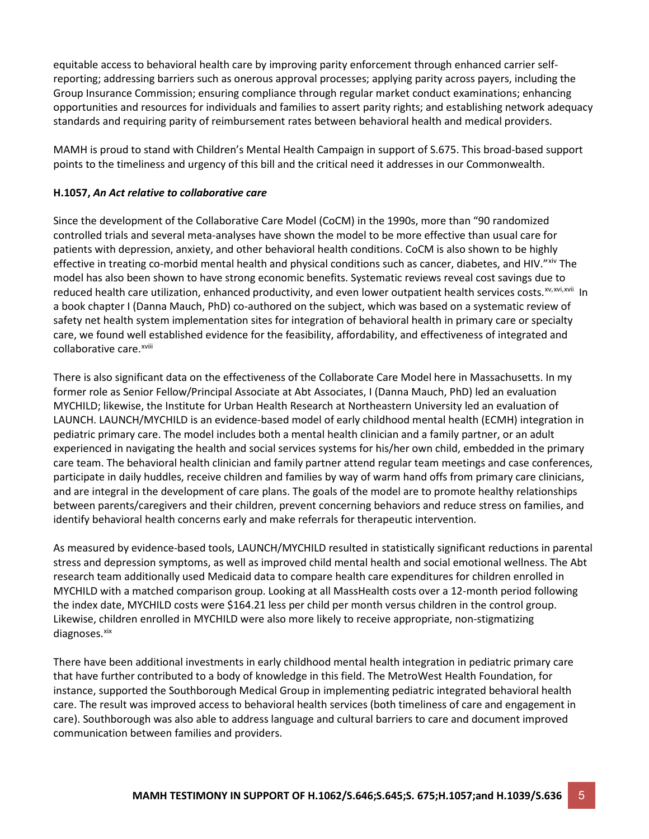equitable access to behavioral health care by improving parity enforcement through enhanced carrier selfreporting; addressing barriers such as onerous approval processes; applying parity across payers, including the Group Insurance Commission; ensuring compliance through regular market conduct examinations; enhancing opportunities and resources for individuals and families to assert parity rights; and establishing network adequacy standards and requiring parity of reimbursement rates between behavioral health and medical providers.

MAMH is proud to stand with Children's Mental Health Campaign in support of S.675. This broad-based support points to the timeliness and urgency of this bill and the critical need it addresses in our Commonwealth.

## **H.1057,** *An Act relative to collaborative care*

Since the development of the Collaborative Care Model (CoCM) in the 1990s, more than "90 randomized controlled trials and several meta-analyses have shown the model to be more effective than usual care for patients with depression, anxiety, and other behavioral health conditions. CoCM is also shown to be highly effective in treating co-morbid mental health and physical conditions such as cancer, diabetes, and HIV."<sup>[xiv](#page-7-0)</sup> The collaborat[i](#page-7-4)ve care.<sup>xviii</sup> model has also been shown to have strong economic benefits. Systematic reviews reveal cost savings due to reduced health care utilization, enhanced productivity, and even lower outpatient health services costs.<sup>[xv](#page-7-1),[xvi](#page-7-2)[,xvii](#page-7-3)</sup> In a book chapter I (Danna Mauch, PhD) co-authored on the subject, which was based on a systematic review of safety net health system implementation sites for integration of behavioral health in primary care or specialty care, we found well established evidence for the feasibility, affordability, and effectiveness of integrated and

There is also significant data on the effectiveness of the Collaborate Care Model here in Massachusetts. In my former role as Senior Fellow/Principal Associate at Abt Associates, I (Danna Mauch, PhD) led an evaluation MYCHILD; likewise, the Institute for Urban Health Research at Northeastern University led an evaluation of LAUNCH. LAUNCH/MYCHILD is an evidence-based model of early childhood mental health (ECMH) integration in pediatric primary care. The model includes both a mental health clinician and a family partner, or an adult experienced in navigating the health and social services systems for his/her own child, embedded in the primary care team. The behavioral health clinician and family partner attend regular team meetings and case conferences, participate in daily huddles, receive children and families by way of warm hand offs from primary care clinicians, and are integral in the development of care plans. The goals of the model are to promote healthy relationships between parents/caregivers and their children, prevent concerning behaviors and reduce stress on families, and identify behavioral health concerns early and make referrals for therapeutic intervention.

As measured by evidence-based tools, LAUNCH/MYCHILD resulted in statistically significant reductions in parental stress and depression symptoms, as well as improved child mental health and social emotional wellness. The Abt research team additionally used Medicaid data to compare health care expenditures for children enrolled in MYCHILD with a matched comparison group. Looking at all MassHealth costs over a 12-month period following the index date, MYCHILD costs were \$164.21 less per child per month versus children in the control group. Likewise, children enrolled in MYCHILD were also more likely to receive appropriate, non-stigmatizing diagnoses.<sup>xix</sup>

There have been additional investments in early childhood mental health integration in pediatric primary care that have further contributed to a body of knowledge in this field. The MetroWest Health Foundation, for instance, supported the Southborough Medical Group in implementing pediatric integrated behavioral health care. The result was improved access to behavioral health services (both timeliness of care and engagement in care). Southborough was also able to address language and cultural barriers to care and document improved communication between families and providers.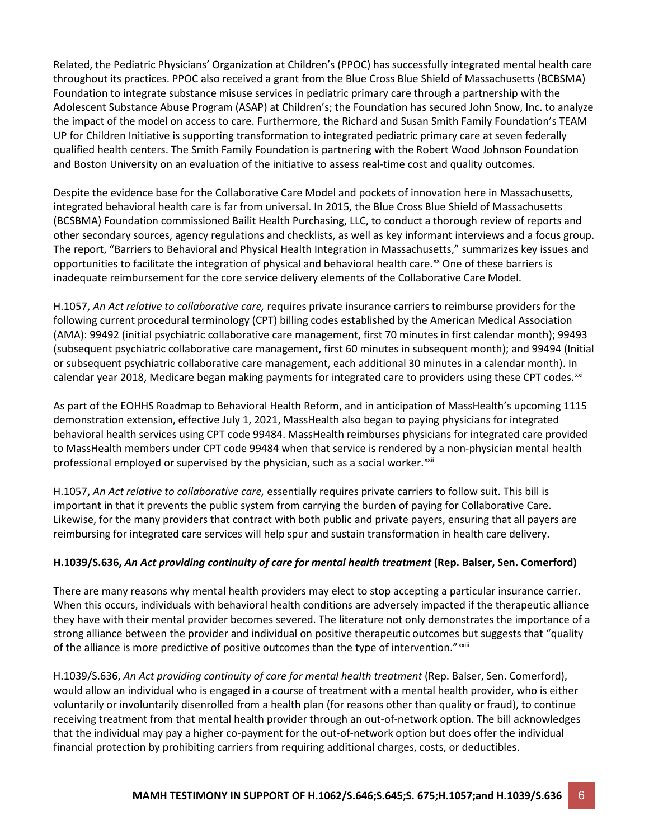Related, the Pediatric Physicians' Organization at Children's (PPOC) has successfully integrated mental health care throughout its practices. PPOC also received a grant from the Blue Cross Blue Shield of Massachusetts (BCBSMA) Foundation to integrate substance misuse services in pediatric primary care through a partnership with the Adolescent Substance Abuse Program (ASAP) at Children's; the Foundation has secured John Snow, Inc. to analyze the impact of the model on access to care. Furthermore, the Richard and Susan Smith Family Foundation's TEAM UP for Children Initiative is supporting transformation to integrated pediatric primary care at seven federally qualified health centers. The Smith Family Foundation is partnering with the Robert Wood Johnson Foundation and Boston University on an evaluation of the initiative to assess real-time cost and quality outcomes.

Despite the evidence base for the Collaborative Care Model and pockets of innovation here in Massachusetts, integrated behavioral health care is far from universal. In 2015, the Blue Cross Blue Shield of Massachusetts (BCSBMA) Foundation commissioned Bailit Health Purchasing, LLC, to conduct a thorough review of reports and other secondary sources, agency regulations and checklists, as well as key informant interviews and a focus group. The report, "Barriers to Behavioral and Physical Health Integration in Massachusetts," summarizes key issues and opportunities to facilitate the integration of physical and behavioral health care.<sup>[xx](#page-7-6)</sup> One of these barriers is inadequate reimbursement for the core service delivery elements of the Collaborative Care Model.

H.1057, *An Act relative to collaborative care,* requires private insurance carriers to reimburse providers for the following current procedural terminology (CPT) billing codes established by the American Medical Association (AMA): 99492 (initial psychiatric collaborative care management, first 70 minutes in first calendar month); 99493 (subsequent psychiatric collaborative care management, first 60 minutes in subsequent month); and 99494 (Initial or subsequent psychiatric collaborative care management, each additional 30 minutes in a calendar month). In calendar year 2018, Medicare began making payments for integrated care to providers using these CPT codes.<sup>[xxi](#page-7-7)</sup>

As part of the EOHHS Roadmap to Behavioral Health Reform, and in anticipation of MassHealth's upcoming 1115 demonstration extension, effective July 1, 2021, MassHealth also began to paying physicians for integrated behavioral health services using CPT code 99484. MassHealth reimburses physicians for integrated care provided to MassHealth members under CPT code 99484 when that service is rendered by a non-physician mental health professional employed or supervised by the physician, such as a social worker.<sup>[xxii](#page-7-8)</sup>

H.1057, *An Act relative to collaborative care,* essentially requires private carriers to follow suit. This bill is important in that it prevents the public system from carrying the burden of paying for Collaborative Care. Likewise, for the many providers that contract with both public and private payers, ensuring that all payers are reimbursing for integrated care services will help spur and sustain transformation in health care delivery.

# **H.1039/S.636,** *An Act providing continuity of care for mental health treatment* **(Rep. Balser, Sen. Comerford)**

There are many reasons why mental health providers may elect to stop accepting a particular insurance carrier. When this occurs, individuals with behavioral health conditions are adversely impacted if the therapeutic alliance they have with their mental provider becomes severed. The literature not only demonstrates the importance of a strong alliance between the provider and individual on positive therapeutic outcomes but suggests that "quality of the all[i](#page-7-9)ance is more predictive of positive outcomes than the type of intervention."<sup>xxiii</sup>

H.1039/S.636, *An Act providing continuity of care for mental health treatment* (Rep. Balser, Sen. Comerford), would allow an individual who is engaged in a course of treatment with a mental health provider, who is either voluntarily or involuntarily disenrolled from a health plan (for reasons other than quality or fraud), to continue receiving treatment from that mental health provider through an out-of-network option. The bill acknowledges that the individual may pay a higher co-payment for the out-of-network option but does offer the individual financial protection by prohibiting carriers from requiring additional charges, costs, or deductibles.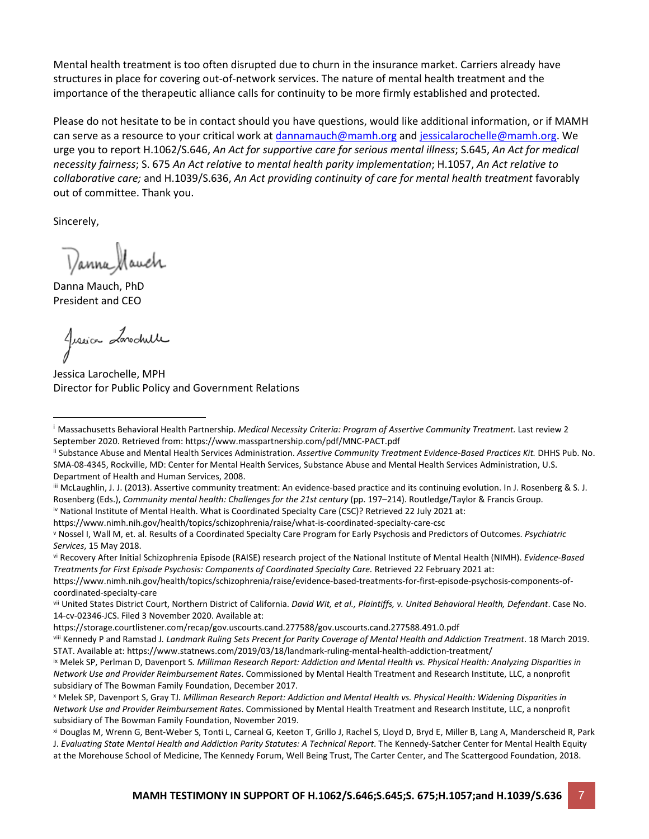Mental health treatment is too often disrupted due to churn in the insurance market. Carriers already have structures in place for covering out-of-network services. The nature of mental health treatment and the importance of the therapeutic alliance calls for continuity to be more firmly established and protected.

Please do not hesitate to be in contact should you have questions, would like additional information, or if MAMH can serve as a resource to your critical work at [dannamauch@mamh.org](mailto:dannamauch@mamh.org) and [jessicalarochelle@mamh.org.](mailto:jessicalarochelle@mamh.org) We urge you to report H.1062/S.646, *An Act for supportive care for serious mental illness*; S.645, *An Act for medical necessity fairness*; S. 675 *An Act relative to mental health parity implementation*; H.1057, *An Act relative to collaborative care;* and H.1039/S.636, *An Act providing continuity of care for mental health treatment* favorably out of committee. Thank you.

Sincerely,

Danna Mauch

Danna Mauch, PhD President and CEO

Jussica Landwille

<span id="page-6-0"></span>Jessica Larochelle, MPH Director for Public Policy and Government Relations

<span id="page-6-4"></span>iv National Institute of Mental Health. What is Coordinated Specialty Care (CSC)? Retrieved 22 July 2021 at:

https://www.nimh.nih.gov/health/topics/schizophrenia/raise/what-is-coordinated-specialty-care-csc

<span id="page-6-5"></span><sup>v</sup> Nossel I, Wall M, et. al. Results of a Coordinated Specialty Care Program for Early Psychosis and Predictors of Outcomes. *Psychiatric* 

*Services*, 15 May 2018.<br><sup>vi</sup> Recovery After Initial Schizophrenia Episode (RAISE) research project of the National Institute of Mental Health (NIMH). *Evidence-Based Treatments for First Episode Psychosis: Components of Coordinated Specialty Care.* Retrieved 22 February 2021 at:

<span id="page-6-6"></span>https://www.nimh.nih.gov/health/topics/schizophrenia/raise/evidence-based-treatments-for-first-episode-psychosis-components-ofcoordinated-specialty-care

<span id="page-6-1"></span><sup>i</sup> Massachusetts Behavioral Health Partnership. *Medical Necessity Criteria: Program of Assertive Community Treatment.* Last review 2 September 2020. Retrieved from: https://www.masspartnership.com/pdf/MNC-PACT.pdf

<span id="page-6-2"></span>ii Substance Abuse and Mental Health Services Administration. *Assertive Community Treatment Evidence-Based Practices Kit.* DHHS Pub. No. SMA-08-4345, Rockville, MD: Center for Mental Health Services, Substance Abuse and Mental Health Services Administration, U.S. Department of Health and Human Services, 2008.

<span id="page-6-3"></span>iii McLaughlin, J. J. (2013). Assertive community treatment: An evidence-based practice and its continuing evolution. In J. Rosenberg & S. J. Rosenberg (Eds.), *Community mental health: Challenges for the 21st century* (pp. 197–214). Routledge/Taylor & Francis Group.

<span id="page-6-7"></span>vii United States District Court, Northern District of California. *David Wit, et al., Plaintiffs, v. United Behavioral Health, Defendant*. Case No. 14-cv-02346-JCS. Filed 3 November 2020. Available at:

https://storage.courtlistener.com/recap/gov.uscourts.cand.277588/gov.uscourts.cand.277588.491.0.pdf

<span id="page-6-8"></span>viii Kennedy P and Ramstad J*. Landmark Ruling Sets Precent for Parity Coverage of Mental Health and Addiction Treatment*. 18 March 2019. STAT. Available at: https://www.statnews.com/2019/03/18/landmark-ruling-mental-health-addiction-treatment/

<span id="page-6-9"></span>ix Melek SP, Perlman D, Davenport S*. Milliman Research Report: Addiction and Mental Health vs. Physical Health: Analyzing Disparities in Network Use and Provider Reimbursement Rates*. Commissioned by Mental Health Treatment and Research Institute, LLC, a nonprofit subsidiary of The Bowman Family Foundation, December 2017.

<span id="page-6-10"></span><sup>x</sup> Melek SP, Davenport S, Gray TJ*. Milliman Research Report: Addiction and Mental Health vs. Physical Health: Widening Disparities in Network Use and Provider Reimbursement Rates*. Commissioned by Mental Health Treatment and Research Institute, LLC, a nonprofit subsidiary of The Bowman Family Foundation, November 2019.

<span id="page-6-12"></span><span id="page-6-11"></span>xi Douglas M, Wrenn G, Bent-Weber S, Tonti L, Carneal G, Keeton T, Grillo J, Rachel S, Lloyd D, Bryd E, Miller B, Lang A, Manderscheid R, Park J. *Evaluating State Mental Health and Addiction Parity Statutes: A Technical Report*. The Kennedy-Satcher Center for Mental Health Equity at the Morehouse School of Medicine, The Kennedy Forum, Well Being Trust, The Carter Center, and The Scattergood Foundation, 2018.